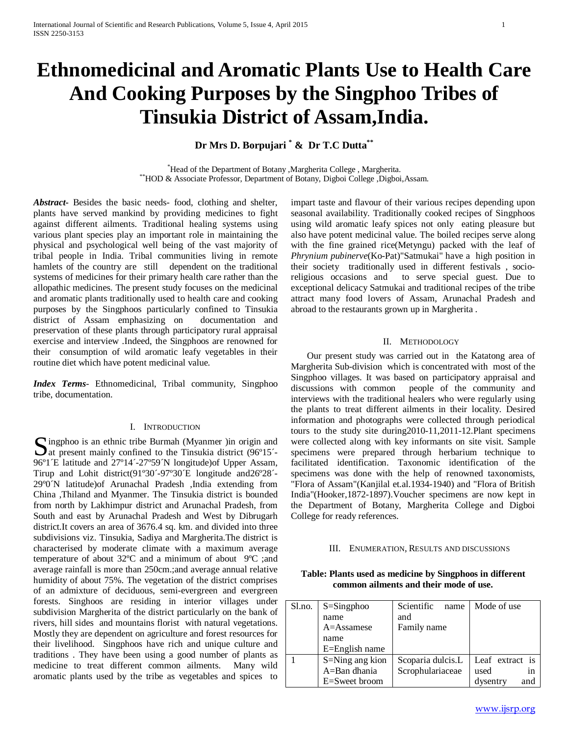# **Ethnomedicinal and Aromatic Plants Use to Health Care And Cooking Purposes by the Singphoo Tribes of Tinsukia District of Assam,India.**

## **Dr Mrs D. Borpujari \* & Dr T.C Dutta\*\***

\*Head of the Department of Botany , Margherita College, Margherita. \*\*HOD & Associate Professor, Department of Botany, Digboi College ,Digboi,Assam.

*Abstract***-** Besides the basic needs- food, clothing and shelter, plants have served mankind by providing medicines to fight against different ailments. Traditional healing systems using various plant species play an important role in maintaining the physical and psychological well being of the vast majority of tribal people in India. Tribal communities living in remote hamlets of the country are still dependent on the traditional systems of medicines for their primary health care rather than the allopathic medicines. The present study focuses on the medicinal and aromatic plants traditionally used to health care and cooking purposes by the Singphoos particularly confined to Tinsukia district of Assam emphasizing on documentation and preservation of these plants through participatory rural appraisal exercise and interview .Indeed, the Singphoos are renowned for their consumption of wild aromatic leafy vegetables in their routine diet which have potent medicinal value.

*Index Terms*- Ethnomedicinal, Tribal community, Singphoo tribe, documentation.

#### I. INTRODUCTION

Singphoo is an ethnic tribe Burmah (Myanmer ) in origin and<br>
at present mainly confined to the Tinsukia district (96°15′-<br>  $\frac{1}{2}$  37914′-279500011  $\Delta$  at present mainly confined to the Tinsukia district (96°15<sup> $\sim$ </sup> 96º1´E latitude and 27º14´-27º59´N longitude)of Upper Assam, Tirup and Lohit district(91º30´-97º30´E longitude and26º28´- 29º0´N latitude)of Arunachal Pradesh ,India extending from China ,Thiland and Myanmer. The Tinsukia district is bounded from north by Lakhimpur district and Arunachal Pradesh, from South and east by Arunachal Pradesh and West by Dibrugarh district.It covers an area of 3676.4 sq. km. and divided into three subdivisions viz. Tinsukia, Sadiya and Margherita.The district is characterised by moderate climate with a maximum average temperature of about 32ºC and a minimum of about 9ºC ;and average rainfall is more than 250cm.;and average annual relative humidity of about 75%. The vegetation of the district comprises of an admixture of deciduous, semi-evergreen and evergreen forests. Singhoos are residing in interior villages under subdivision Margherita of the district particularly on the bank of rivers, hill sides and mountains florist with natural vegetations. Mostly they are dependent on agriculture and forest resources for their livelihood. Singphoos have rich and unique culture and traditions . They have been using a good number of plants as medicine to treat different common ailments. Many wild aromatic plants used by the tribe as vegetables and spices to

impart taste and flavour of their various recipes depending upon seasonal availability. Traditionally cooked recipes of Singphoos using wild aromatic leafy spices not only eating pleasure but also have potent medicinal value. The boiled recipes serve along with the fine grained rice(Metyngu) packed with the leaf of *Phrynium pubinerve*(Ko-Pat)"Satmukai" have a high position in their society traditionally used in different festivals , socioreligious occasions and to serve special guest. Due to exceptional delicacy Satmukai and traditional recipes of the tribe attract many food lovers of Assam, Arunachal Pradesh and abroad to the restaurants grown up in Margherita .

### II. METHODOLOGY

 Our present study was carried out in the Katatong area of Margherita Sub-division which is concentrated with most of the Singphoo villages. It was based on participatory appraisal and discussions with common people of the community and interviews with the traditional healers who were regularly using the plants to treat different ailments in their locality. Desired information and photographs were collected through periodical tours to the study site during2010-11,2011-12.Plant specimens were collected along with key informants on site visit. Sample specimens were prepared through herbarium technique to facilitated identification. Taxonomic identification of the specimens was done with the help of renowned taxonomists, "Flora of Assam"(Kanjilal et.al.1934-1940) and "Flora of British India"(Hooker,1872-1897).Voucher specimens are now kept in the Department of Botany, Margherita College and Digboi College for ready references.

#### III. ENUMERATION, RESULTS AND DISCUSSIONS

| Table: Plants used as medicine by Singphoos in different |
|----------------------------------------------------------|
| common ailments and their mode of use.                   |

| Sl.no. | $S =$ Singphoo  | Scientific<br>name | Mode of use     |
|--------|-----------------|--------------------|-----------------|
|        | name            | and                |                 |
|        | A=Assamese      | Family name        |                 |
|        | name            |                    |                 |
|        | E=English name  |                    |                 |
|        | S=Ning ang kion | Scoparia dulcis.L  | Leaf extract is |
|        | A=Ban dhania    | Scrophulariaceae   | used<br>in      |
|        | E=Sweet broom   |                    | and<br>dysentry |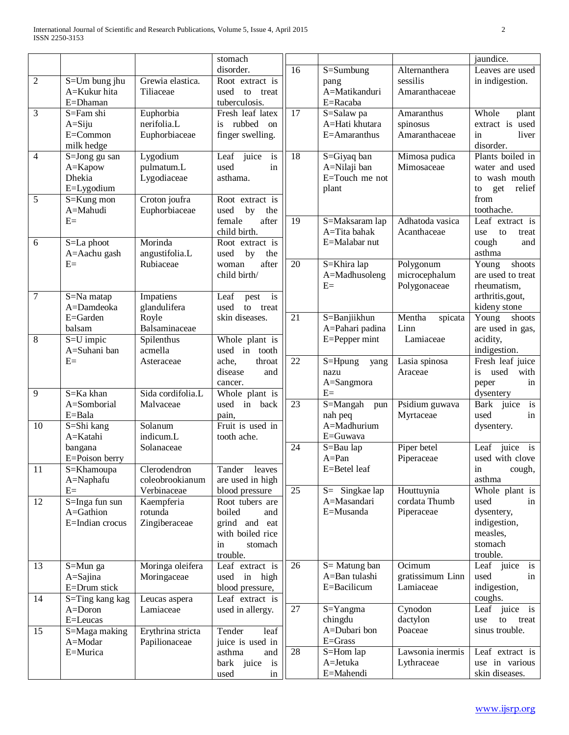|                |                          |                   | stomach             |                 |                   |                   | jaundice.                     |
|----------------|--------------------------|-------------------|---------------------|-----------------|-------------------|-------------------|-------------------------------|
|                |                          |                   | disorder.           | 16              | S=Sumbung         | Alternanthera     | Leaves are used               |
| $\overline{2}$ | S=Um bung jhu            | Grewia elastica.  | Root extract is     |                 | pang              | sessilis          | in indigestion.               |
|                | A=Kukur hita             | Tiliaceae         | used<br>to<br>treat |                 | A=Matikanduri     | Amaranthaceae     |                               |
|                | E=Dhaman                 |                   | tuberculosis.       |                 | E=Racaba          |                   |                               |
| 3              | S=Fam shi                | Euphorbia         | Fresh leaf latex    | 17              | S=Salaw pa        | Amaranthus        | Whole<br>plant                |
|                | $A = S$ iju              | nerifolia.L       | rubbed<br>is<br>on  |                 | A=Hati khutara    | spinosus          | extract is used               |
|                | E=Common                 | Euphorbiaceae     | finger swelling.    |                 | E=Amaranthus      | Amaranthaceae     | in<br>liver                   |
|                | milk hedge               |                   |                     |                 |                   |                   | disorder.                     |
| $\overline{4}$ | S=Jong gu san            | Lygodium          | Leaf juice<br>is    | 18              | S=Giyaq ban       | Mimosa pudica     | Plants boiled in              |
|                | A=Kapow                  | pulmatum.L        | used<br>in          |                 | A=Nilaji ban      | Mimosaceae        | water and used                |
|                | Dhekia                   | Lygodiaceae       | asthama.            |                 | E=Touch me not    |                   | to wash mouth                 |
|                | E=Lygodium               |                   |                     |                 | plant             |                   | get<br>relief<br>to           |
| $\sqrt{5}$     | S=Kung mon               | Croton joufra     | Root extract is     |                 |                   |                   | from                          |
|                | A=Mahudi                 | Euphorbiaceae     | used<br>by<br>the   |                 |                   |                   | toothache.                    |
|                | $E=$                     |                   | female<br>after     | 19              | S=Maksaram lap    | Adhatoda vasica   | Leaf extract is               |
|                |                          |                   | child birth.        |                 | A=Tita bahak      | Acanthaceae       | use<br>to<br>treat            |
| 6              | S=La phoot               | Morinda           | Root extract is     |                 | E=Malabar nut     |                   | cough<br>and                  |
|                | A=Aachu gash             | angustifolia.L    | used<br>by<br>the   |                 |                   |                   | asthma                        |
|                | $E=$                     | Rubiaceae         | after<br>woman      | 20              | S=Khira lap       | Polygonum         | $\overline{Y}$ oung<br>shoots |
|                |                          |                   | child birth/        |                 | A=Madhusoleng     | microcephalum     | are used to treat             |
|                |                          |                   |                     |                 | $E=$              | Polygonaceae      | rheumatism,                   |
| $\overline{7}$ | S=Na matap               | Impatiens         | Leaf<br>is<br>pest  |                 |                   |                   | arthritis, gout,              |
|                | A=Damdeoka               | glandulifera      | used<br>to treat    |                 |                   |                   | kideny stone                  |
|                | E=Garden                 | Royle             | skin diseases.      | $\overline{21}$ | S=Banjiikhun      | Mentha<br>spicata | Young shoots                  |
|                | balsam                   | Balsaminaceae     |                     |                 | A=Pahari padina   | Linn              | are used in gas,              |
| $\overline{8}$ | $S=U$ impic              | Spilenthus        | Whole plant is      |                 | E=Pepper mint     | Lamiaceae         | acidity,                      |
|                | A=Suhani ban             | acmella           | used in tooth       |                 |                   |                   | indigestion.                  |
|                | $E=$                     | Asteraceae        | ache,<br>throat     | 22              | S=Hpung<br>yang   | Lasia spinosa     | Fresh leaf juice              |
|                |                          |                   | disease<br>and      |                 | nazu              | Araceae           | used<br>with<br>is            |
|                |                          |                   | cancer.             |                 | A=Sangmora        |                   | in<br>peper                   |
| 9              | S=Ka khan                | Sida cordifolia.L | Whole plant is      |                 | $E=$              |                   | dysentery                     |
|                | A=Somborial              | Malvaceae         | used in back        | 23              | S=Mangah<br>pun   | Psidium guwava    | is<br>Bark juice              |
|                | E=Bala                   |                   | pain,               |                 | nah peq           | Myrtaceae         | used<br>in                    |
| 10             | S=Shi kang               | Solanum           | Fruit is used in    |                 | A=Madhurium       |                   | dysentery.                    |
|                | A=Katahi                 | indicum.L         | tooth ache.         |                 | E=Guwava          |                   |                               |
|                | bangana                  | Solanaceae        |                     | 24              | S=Bau lap         | Piper betel       | Leaf juice<br>is              |
|                | E=Poison berry           |                   |                     |                 | $A = Pan$         | Piperaceae        | used with clove               |
| 11             | $\overline{S}$ =Khamoupa | Clerodendron      | Tander leaves       |                 | $E = Beta$ leaf   |                   | in cough,                     |
|                | A=Naphafu                | coleobrookianum   | are used in high    |                 |                   |                   | asthma                        |
|                | $E=$                     | Verbinaceae       | blood pressure      | 25              | $S =$ Singkae lap | Houttuynia        | Whole plant is                |
| 12             | S=Inga fun sun           | Kaempferia        | Root tubers are     |                 | A=Masandari       | cordata Thumb     | used<br>in                    |
|                | A=Gathion                | rotunda           | boiled<br>and       |                 | E=Musanda         | Piperaceae        | dysentery,                    |
|                | E=Indian crocus          | Zingiberaceae     | grind and eat       |                 |                   |                   | indigestion,                  |
|                |                          |                   | with boiled rice    |                 |                   |                   | measles,                      |
|                |                          |                   | stomach<br>in       |                 |                   |                   | stomach                       |
|                |                          |                   | trouble.            |                 |                   |                   | trouble.                      |
| 13             | S=Mun ga                 | Moringa oleifera  | Leaf extract is     | 26              | S = Matung ban    | Ocimum            | Leaf juice<br>is              |
|                | A=Sajina                 | Moringaceae       | used in high        |                 | A=Ban tulashi     | gratissimum Linn  | used<br>in                    |
|                | E=Drum stick             |                   | blood pressure,     |                 | E=Bacilicum       | Lamiaceae         | indigestion,                  |
| 14             | S=Ting kang kag          | Leucas aspera     | Leaf extract is     |                 |                   |                   | coughs.                       |
|                | A=Doron                  | Lamiaceae         | used in allergy.    | 27              | S=Yangma          | Cynodon           | Leaf juice<br>i <sub>s</sub>  |
|                | E=Leucas                 |                   |                     |                 | chingdu           | dactylon          | use<br>to<br>treat            |
| 15             | S=Maga making            | Erythrina stricta | leaf<br>Tender      |                 | A=Dubari bon      | Poaceae           | sinus trouble.                |
|                | A=Modar                  | Papilionaceae     | juice is used in    |                 | $E = Grass$       |                   |                               |
|                | E=Murica                 |                   | asthma<br>and       | 28              | S=Hom lap         | Lawsonia inermis  | Leaf extract is               |
|                |                          |                   | bark juice is       |                 | A=Jetuka          | Lythraceae        | use in various                |
|                |                          |                   | used<br>in          |                 | E=Mahendi         |                   | skin diseases.                |